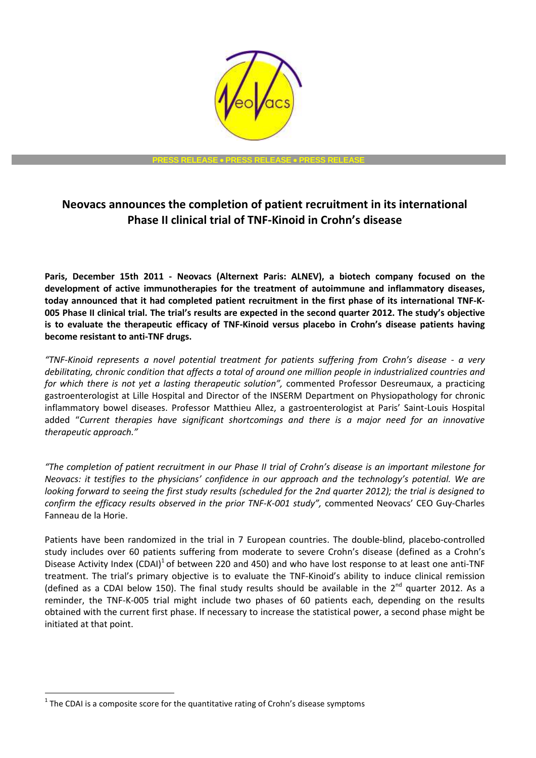

# **Neovacs announces the completion of patient recruitment in its international Phase II clinical trial of TNF-Kinoid in Crohn's disease**

**Paris, December 15th 2011 - Neovacs (Alternext Paris: ALNEV), a biotech company focused on the development of active immunotherapies for the treatment of autoimmune and inflammatory diseases, today announced that it had completed patient recruitment in the first phase of its international TNF-K-005 Phase II clinical trial. The trial's results are expected in the second quarter 2012. The study's objective is to evaluate the therapeutic efficacy of TNF-Kinoid versus placebo in Crohn's disease patients having become resistant to anti-TNF drugs.**

*"TNF-Kinoid represents a novel potential treatment for patients suffering from Crohn's disease - a very debilitating, chronic condition that affects a total of around one million people in industrialized countries and for which there is not yet a lasting therapeutic solution",* commented Professor Desreumaux, a practicing gastroenterologist at Lille Hospital and Director of the INSERM Department on Physiopathology for chronic inflammatory bowel diseases. Professor Matthieu Allez, a gastroenterologist at Paris' Saint-Louis Hospital added "*Current therapies have significant shortcomings and there is a major need for an innovative therapeutic approach."*

*"The completion of patient recruitment in our Phase II trial of Crohn's disease is an important milestone for Neovacs: it testifies to the physicians' confidence in our approach and the technology's potential. We are looking forward to seeing the first study results (scheduled for the 2nd quarter 2012); the trial is designed to confirm the efficacy results observed in the prior TNF-K-001 study",* commented Neovacs' CEO Guy-Charles Fanneau de la Horie.

Patients have been randomized in the trial in 7 European countries. The double-blind, placebo-controlled study includes over 60 patients suffering from moderate to severe Crohn's disease (defined as a Crohn's Disease Activity Index (CDAI)<sup>1</sup> of between 220 and 450) and who have lost response to at least one anti-TNF treatment. The trial's primary objective is to evaluate the TNF-Kinoid's ability to induce clinical remission (defined as a CDAI below 150). The final study results should be available in the  $2^{nd}$  quarter 2012. As a reminder, the TNF-K-005 trial might include two phases of 60 patients each, depending on the results obtained with the current first phase. If necessary to increase the statistical power, a second phase might be initiated at that point.

 $\overline{a}$  $<sup>1</sup>$  The CDAI is a composite score for the quantitative rating of Crohn's disease symptoms</sup>